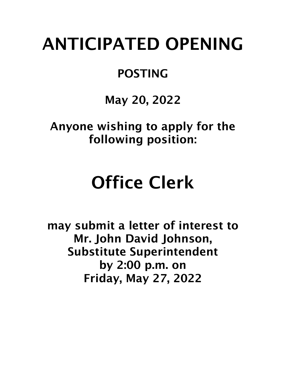## ANTICIPATED OPENING

## POSTING

May 20, 2022

Anyone wishing to apply for the following position:

## Office Clerk

may submit a letter of interest to Mr. John David Johnson, Substitute Superintendent by 2:00 p.m. on Friday, May 27, 2022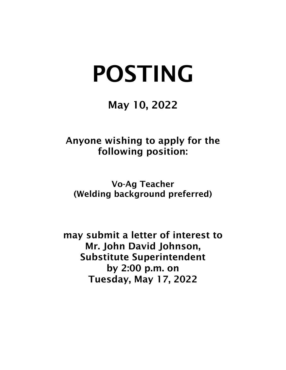# POSTING

#### May 10, 2022

Anyone wishing to apply for the following position:

Vo-Ag Teacher (Welding background preferred)

may submit a letter of interest to Mr. John David Johnson, Substitute Superintendent by 2:00 p.m. on Tuesday, May 17, 2022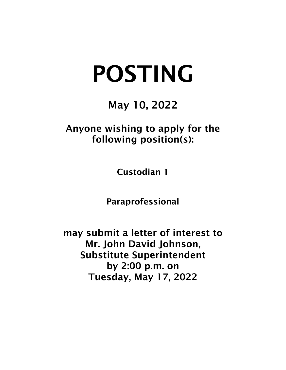# POSTING

### May 10, 2022

#### Anyone wishing to apply for the following position(s):

Custodian 1

Paraprofessional

may submit a letter of interest to Mr. John David Johnson, Substitute Superintendent by 2:00 p.m. on Tuesday, May 17, 2022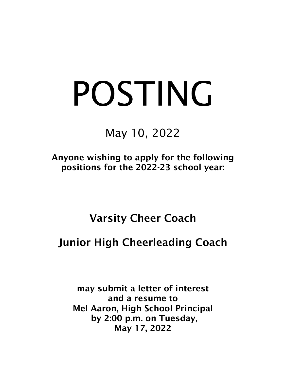# POSTING

May 10, 2022

Anyone wishing to apply for the following positions for the 2022-23 school year:

#### Varsity Cheer Coach

#### Junior High Cheerleading Coach

may submit a letter of interest and a resume to Mel Aaron, High School Principal by 2:00 p.m. on Tuesday, May 17, 2022